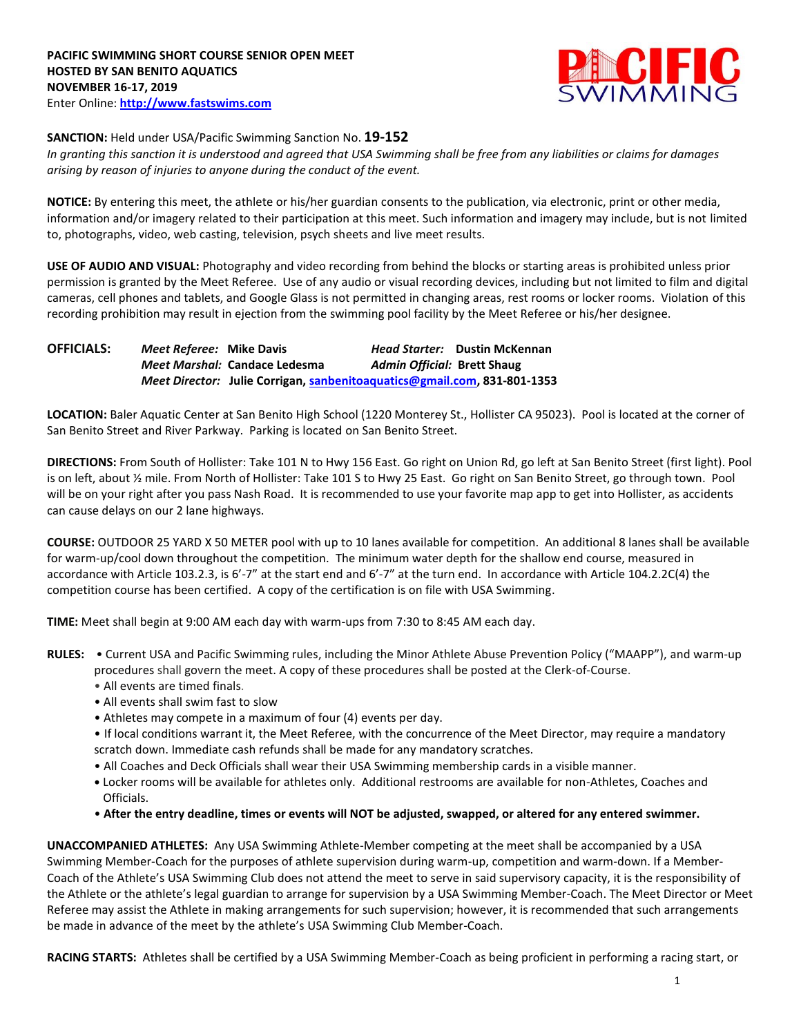

## **SANCTION:** Held under USA/Pacific Swimming Sanction No. **19-152**

*In granting this sanction it is understood and agreed that USA Swimming shall be free from any liabilities or claims for damages arising by reason of injuries to anyone during the conduct of the event.* 

**NOTICE:** By entering this meet, the athlete or his/her guardian consents to the publication, via electronic, print or other media, information and/or imagery related to their participation at this meet. Such information and imagery may include, but is not limited to, photographs, video, web casting, television, psych sheets and live meet results.

**USE OF AUDIO AND VISUAL:** Photography and video recording from behind the blocks or starting areas is prohibited unless prior permission is granted by the Meet Referee. Use of any audio or visual recording devices, including but not limited to film and digital cameras, cell phones and tablets, and Google Glass is not permitted in changing areas, rest rooms or locker rooms. Violation of this recording prohibition may result in ejection from the swimming pool facility by the Meet Referee or his/her designee.

**OFFICIALS:** *Meet Referee:* **Mike Davis** *Head Starter:* **Dustin McKennan** *Meet Marshal:* **Candace Ledesma** *Admin Official:* **Brett Shaug** *Meet Director:* **Julie Corrigan, [sanbenitoaquatics@gmail.com,](mailto:sanbenitoaquatics@gmail.com) 831-801-1353**

**LOCATION:** Baler Aquatic Center at San Benito High School (1220 Monterey St., Hollister CA 95023). Pool is located at the corner of San Benito Street and River Parkway. Parking is located on San Benito Street.

**DIRECTIONS:** From South of Hollister: Take 101 N to Hwy 156 East. Go right on Union Rd, go left at San Benito Street (first light). Pool is on left, about ½ mile. From North of Hollister: Take 101 S to Hwy 25 East. Go right on San Benito Street, go through town. Pool will be on your right after you pass Nash Road. It is recommended to use your favorite map app to get into Hollister, as accidents can cause delays on our 2 lane highways.

**COURSE:** OUTDOOR 25 YARD X 50 METER pool with up to 10 lanes available for competition. An additional 8 lanes shall be available for warm-up/cool down throughout the competition. The minimum water depth for the shallow end course, measured in accordance with Article 103.2.3, is 6'-7" at the start end and 6'-7" at the turn end. In accordance with Article 104.2.2C(4) the competition course has been certified. A copy of the certification is on file with USA Swimming.

**TIME:** Meet shall begin at 9:00 AM each day with warm-ups from 7:30 to 8:45 AM each day.

**RULES:** • Current USA and Pacific Swimming rules, including the Minor Athlete Abuse Prevention Policy ("MAAPP"), and warm-up procedures shall govern the meet. A copy of these procedures shall be posted at the Clerk-of-Course.

- All events are timed finals.
- All events shall swim fast to slow
- Athletes may compete in a maximum of four (4) events per day.

• If local conditions warrant it, the Meet Referee, with the concurrence of the Meet Director, may require a mandatory scratch down. Immediate cash refunds shall be made for any mandatory scratches.

- All Coaches and Deck Officials shall wear their USA Swimming membership cards in a visible manner.
- **•** Locker rooms will be available for athletes only. Additional restrooms are available for non-Athletes, Coaches and Officials.
- **After the entry deadline, times or events will NOT be adjusted, swapped, or altered for any entered swimmer.**

**UNACCOMPANIED ATHLETES:** Any USA Swimming Athlete-Member competing at the meet shall be accompanied by a USA Swimming Member-Coach for the purposes of athlete supervision during warm-up, competition and warm-down. If a Member-Coach of the Athlete's USA Swimming Club does not attend the meet to serve in said supervisory capacity, it is the responsibility of the Athlete or the athlete's legal guardian to arrange for supervision by a USA Swimming Member-Coach. The Meet Director or Meet Referee may assist the Athlete in making arrangements for such supervision; however, it is recommended that such arrangements be made in advance of the meet by the athlete's USA Swimming Club Member-Coach.

**RACING STARTS:** Athletes shall be certified by a USA Swimming Member-Coach as being proficient in performing a racing start, or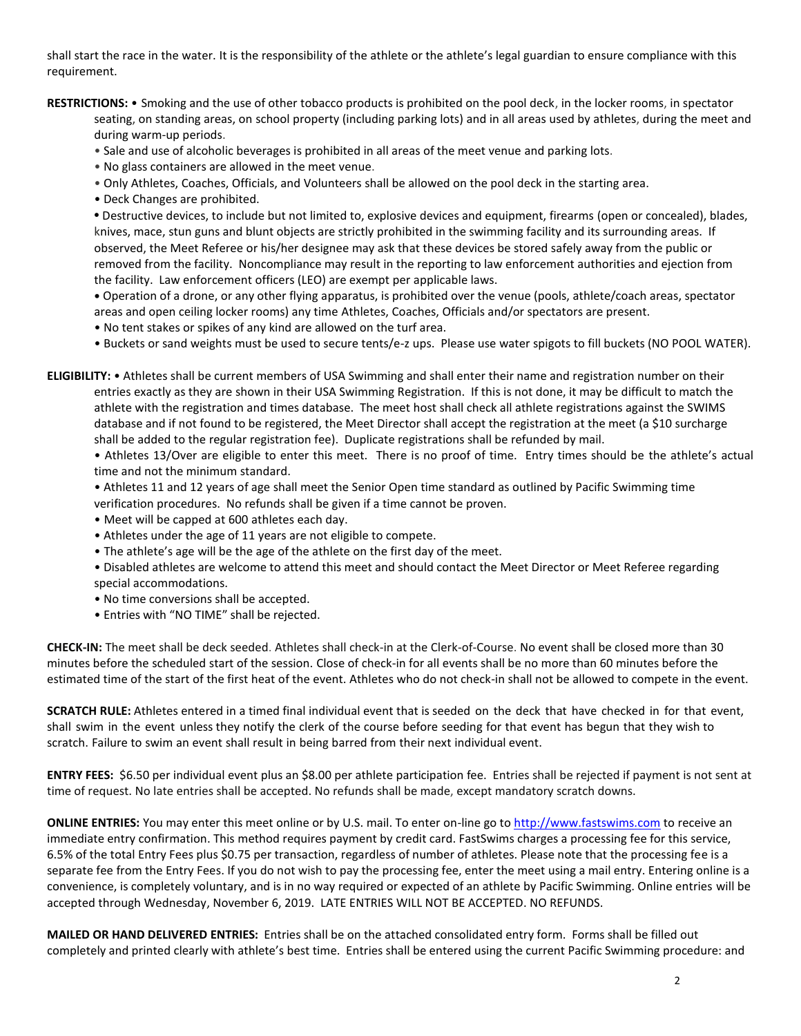shall start the race in the water. It is the responsibility of the athlete or the athlete's legal guardian to ensure compliance with this requirement.

- **RESTRICTIONS:** Smoking and the use of other tobacco products is prohibited on the pool deck, in the locker rooms, in spectator seating, on standing areas, on school property (including parking lots) and in all areas used by athletes, during the meet and during warm-up periods.
	- Sale and use of alcoholic beverages is prohibited in all areas of the meet venue and parking lots.
	- No glass containers are allowed in the meet venue.
	- Only Athletes, Coaches, Officials, and Volunteers shall be allowed on the pool deck in the starting area.
	- Deck Changes are prohibited.

**•** Destructive devices, to include but not limited to, explosive devices and equipment, firearms (open or concealed), blades, knives, mace, stun guns and blunt objects are strictly prohibited in the swimming facility and its surrounding areas. If observed, the Meet Referee or his/her designee may ask that these devices be stored safely away from the public or removed from the facility. Noncompliance may result in the reporting to law enforcement authorities and ejection from the facility. Law enforcement officers (LEO) are exempt per applicable laws.

**•** Operation of a drone, or any other flying apparatus, is prohibited over the venue (pools, athlete/coach areas, spectator areas and open ceiling locker rooms) any time Athletes, Coaches, Officials and/or spectators are present.

• No tent stakes or spikes of any kind are allowed on the turf area.

• Buckets or sand weights must be used to secure tents/e-z ups. Please use water spigots to fill buckets (NO POOL WATER).

**ELIGIBILITY:** • Athletes shall be current members of USA Swimming and shall enter their name and registration number on their entries exactly as they are shown in their USA Swimming Registration. If this is not done, it may be difficult to match the athlete with the registration and times database. The meet host shall check all athlete registrations against the SWIMS database and if not found to be registered, the Meet Director shall accept the registration at the meet (a \$10 surcharge shall be added to the regular registration fee). Duplicate registrations shall be refunded by mail.

• Athletes 13/Over are eligible to enter this meet. There is no proof of time. Entry times should be the athlete's actual time and not the minimum standard.

- Athletes 11 and 12 years of age shall meet the Senior Open time standard as outlined by Pacific Swimming time verification procedures. No refunds shall be given if a time cannot be proven.
- Meet will be capped at 600 athletes each day.
- Athletes under the age of 11 years are not eligible to compete.
- The athlete's age will be the age of the athlete on the first day of the meet.
- Disabled athletes are welcome to attend this meet and should contact the Meet Director or Meet Referee regarding special accommodations.
- No time conversions shall be accepted.
- Entries with "NO TIME" shall be rejected.

**CHECK-IN:** The meet shall be deck seeded. Athletes shall check-in at the Clerk-of-Course. No event shall be closed more than 30 minutes before the scheduled start of the session. Close of check‐in for all events shall be no more than 60 minutes before the estimated time of the start of the first heat of the event. Athletes who do not check-in shall not be allowed to compete in the event.

**SCRATCH RULE:** Athletes entered in a timed final individual event that is seeded on the deck that have checked in for that event, shall swim in the event unless they notify the clerk of the course before seeding for that event has begun that they wish to scratch. Failure to swim an event shall result in being barred from their next individual event.

**ENTRY FEES:** \$6.50 per individual event plus an \$8.00 per athlete participation fee. Entries shall be rejected if payment is not sent at time of request. No late entries shall be accepted. No refunds shall be made, except mandatory scratch downs.

**ONLINE ENTRIES:** You may enter this meet online or by U.S. mail. To enter on-line go to [http://www.fastswims.com](http://www.fastswims.com/) to receive an immediate entry confirmation. This method requires payment by credit card. FastSwims charges a processing fee for this service, 6.5% of the total Entry Fees plus \$0.75 per transaction, regardless of number of athletes. Please note that the processing fee is a separate fee from the Entry Fees. If you do not wish to pay the processing fee, enter the meet using a mail entry. Entering online is a convenience, is completely voluntary, and is in no way required or expected of an athlete by Pacific Swimming. Online entries will be accepted through Wednesday, November 6, 2019. LATE ENTRIES WILL NOT BE ACCEPTED. NO REFUNDS.

**MAILED OR HAND DELIVERED ENTRIES:** Entries shall be on the attached consolidated entry form. Forms shall be filled out completely and printed clearly with athlete's best time. Entries shall be entered using the current Pacific Swimming procedure: and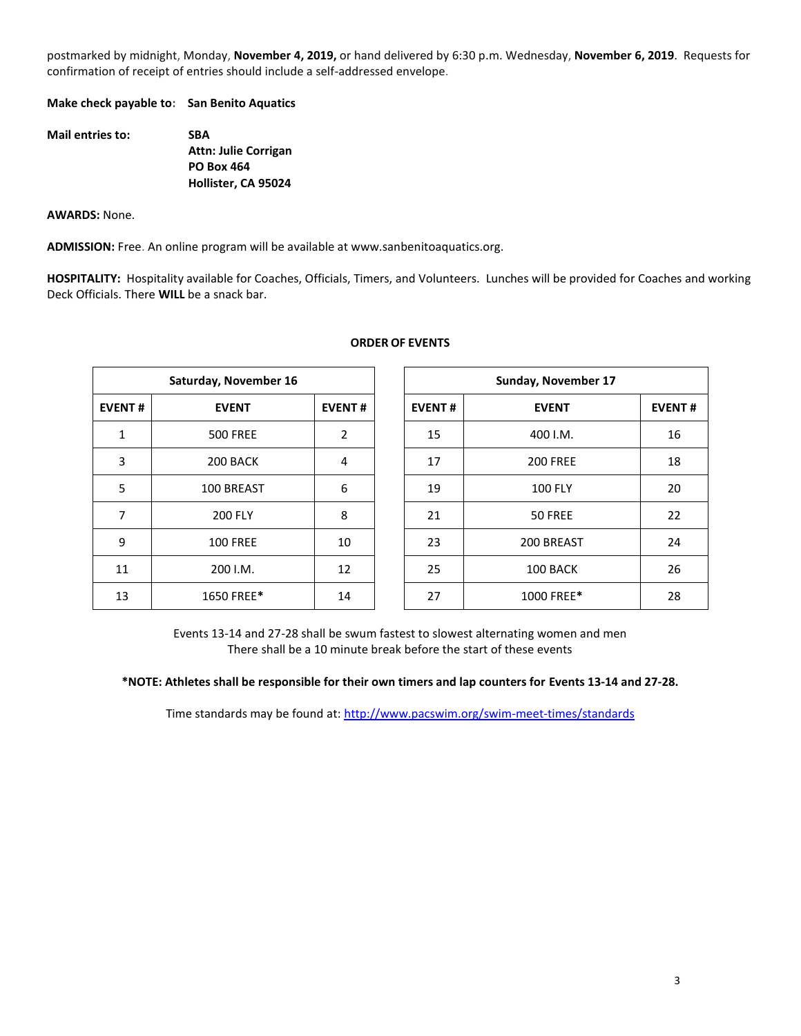postmarked by midnight, Monday, **November 4, 2019,** or hand delivered by 6:30 p.m. Wednesday, **November 6, 2019**. Requests for confirmation of receipt of entries should include a self-addressed envelope.

**Make check payable to: San Benito Aquatics**

| <b>Mail entries to:</b> | <b>SBA</b>                  |  |  |  |  |
|-------------------------|-----------------------------|--|--|--|--|
|                         | <b>Attn: Julie Corrigan</b> |  |  |  |  |
|                         | <b>PO Box 464</b>           |  |  |  |  |
|                         | Hollister, CA 95024         |  |  |  |  |

**AWARDS:** None.

**ADMISSION:** Free. An online program will be available at www.sanbenitoaquatics.org.

**HOSPITALITY:** Hospitality available for Coaches, Officials, Timers, and Volunteers. Lunches will be provided for Coaches and working Deck Officials. There **WILL** be a snack bar.

|               | Saturday, November 16 |               |               | Sunday, November 17 |               |  |  |
|---------------|-----------------------|---------------|---------------|---------------------|---------------|--|--|
| <b>EVENT#</b> | <b>EVENT</b>          | <b>EVENT#</b> | <b>EVENT#</b> | <b>EVENT</b>        | <b>EVENT#</b> |  |  |
| 1             | <b>500 FREE</b>       | 2             | 15            | 400 I.M.            | 16            |  |  |
| 3             | 200 BACK              | 4             | 17            | <b>200 FREE</b>     | 18            |  |  |
| 5             | 100 BREAST            | 6             | 19            | <b>100 FLY</b>      | 20            |  |  |
| 7             | <b>200 FLY</b>        | 8             | 21            | 50 FREE             | 22            |  |  |
| 9             | <b>100 FREE</b>       | 10            | 23            | 200 BREAST          | 24            |  |  |
| 11            | 200 I.M.              | 12            | 25            | 100 BACK            | 26            |  |  |
| 13            | 1650 FREE*            | 14            | 27            | 1000 FREE*          | 28            |  |  |

## **ORDER OF EVENTS**

Events 13-14 and 27-28 shall be swum fastest to slowest alternating women and men There shall be a 10 minute break before the start of these events

**\*NOTE: Athletes shall be responsible for their own timers and lap counters for Events 13-14 and 27-28.**

Time standards may be found at:<http://www.pacswim.org/swim-meet-times/standards>